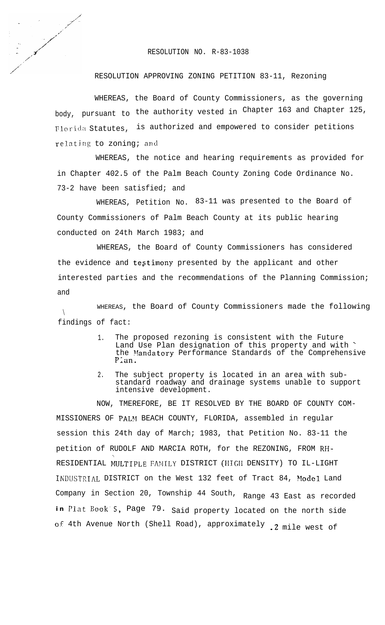RESOLUTION NO. R-83-1038

## RESOLUTION APPROVING ZONING PETITION 83-11, Rezoning

WHEREAS, the Board of County Commissioners, as the governing body, pursuant to the authority vested in Chapter 163 and Chapter 125, Florida Statutes, is authorized and empowered to consider petitions relating to zoning; and

WHEREAS, the notice and hearing requirements as provided for in Chapter 402.5 of the Palm Beach County Zoning Code Ordinance No. 73-2 have been satisfied; and

WHEREAS, Petition No. 83-11 was presented to the Board of County Commissioners of Palm Beach County at its public hearing conducted on 24th March 1983; and

WHEREAS, the Board of County Commissioners has considered the evidence and testimony presented by the applicant and other interested parties and the recommendations of the Planning Commission; and

 $\setminus$ WHEREAS, the Board of County Commissioners made the following findings of fact:

- 1. The proposed rezoning is consistent with the Future Land Use Plan designation of this property and with ' the Mandatory Performance Standards of the Comprehensive Plan.
- 2. The subject property is located in an area with substandard roadway and drainage systems unable to support intensive development.

NOW, TMEREFORE, BE IT RESOLVED BY THE BOARD OF COUNTY COM-MISSIONERS OF PALM BEACH COUNTY, FLORIDA, assembled in regular session this 24th day of March; 1983, that Petition No. 83-11 the petition of RUDOLF AND MARCIA ROTH, for the REZONING, FROM RH-RESIDENTIAL MULTIPLE FAMILY DISTRICT (HIGH DENSITY) TO IL-LIGHT IhDUSTRIAL DISTRICT on the West 132 feet of Tract 84, Model Land Company in Section 20, Township 44 South, Range 43 East as recorded **in Plat** Book-S, Page 79. Said property located on the north side of 4th Avenue North (Shell Road), approximately .2 mile west of